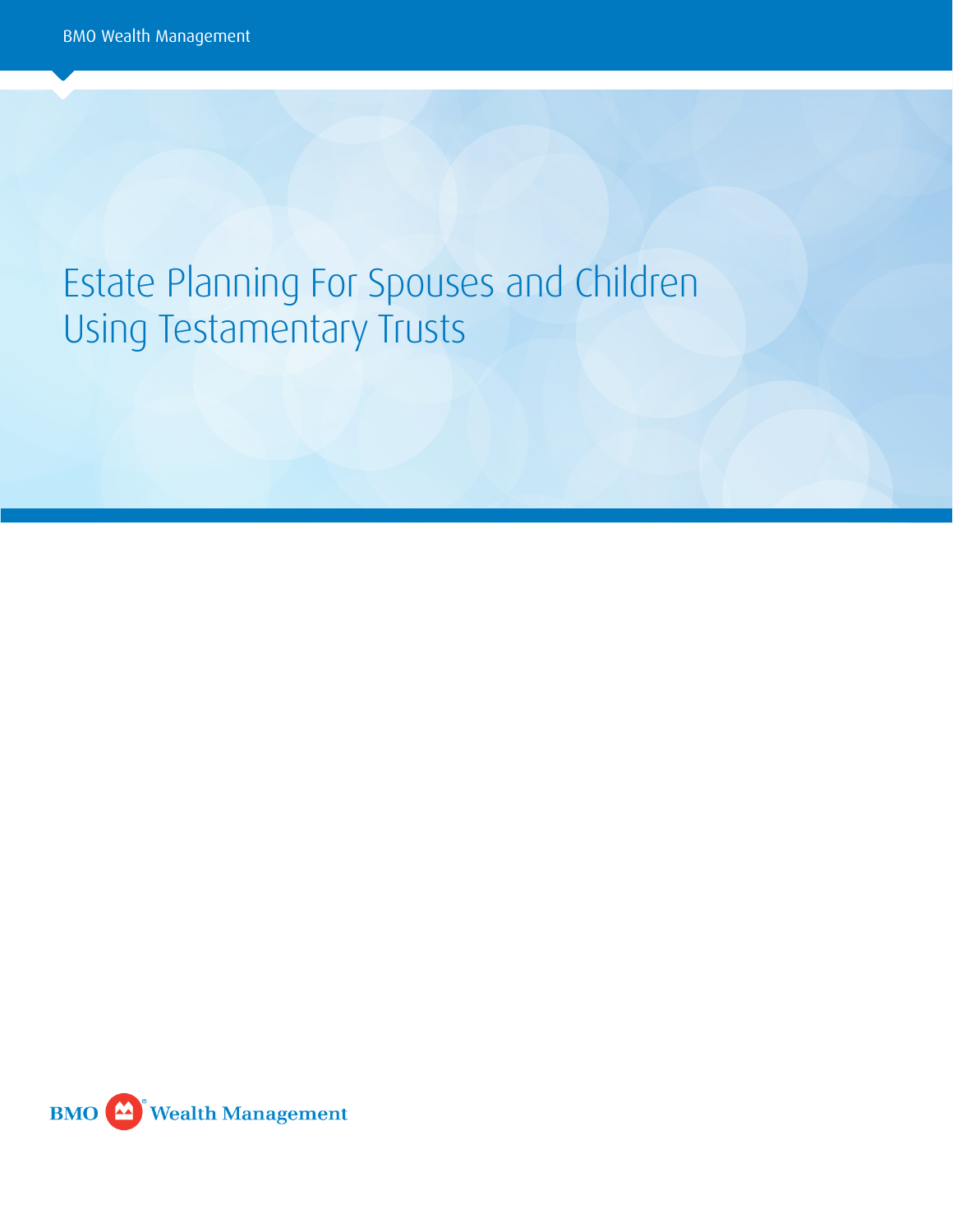# Estate Planning For Spouses and Children Using Testamentary Trusts

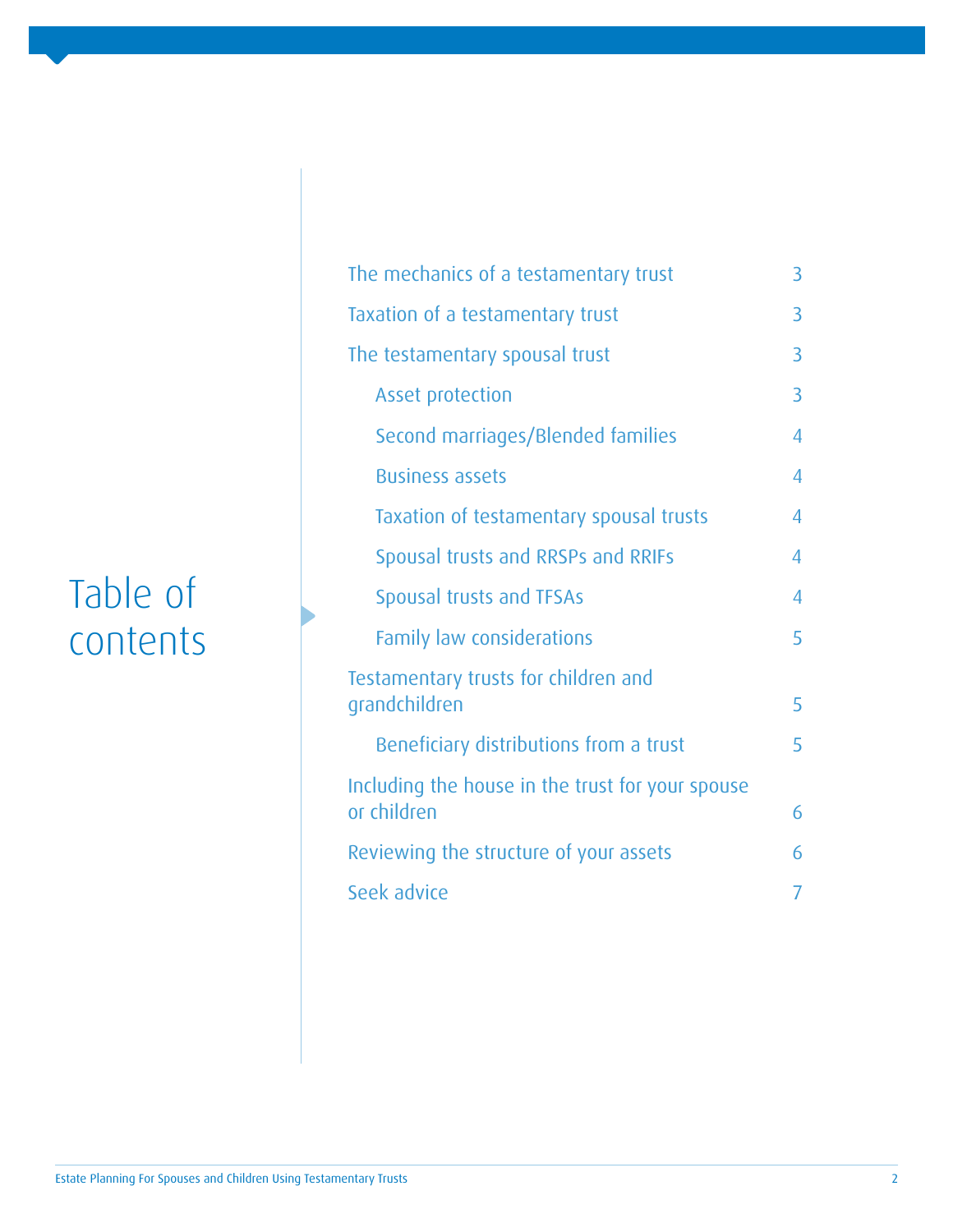# Table of contents

| The mechanics of a testamentary trust                           | 3 |
|-----------------------------------------------------------------|---|
| Taxation of a testamentary trust                                | 3 |
| The testamentary spousal trust                                  | 3 |
| <b>Asset protection</b>                                         | 3 |
| Second marriages/Blended families                               | 4 |
| <b>Business assets</b>                                          | 4 |
| Taxation of testamentary spousal trusts                         | 4 |
| Spousal trusts and RRSPs and RRIFs                              | 4 |
| <b>Spousal trusts and TFSAs</b>                                 | 4 |
| <b>Family law considerations</b>                                | 5 |
| Testamentary trusts for children and<br>grandchildren           | 5 |
| Beneficiary distributions from a trust                          | 5 |
| Including the house in the trust for your spouse<br>or children | 6 |
| Reviewing the structure of your assets                          | 6 |
| Seek advice                                                     | 7 |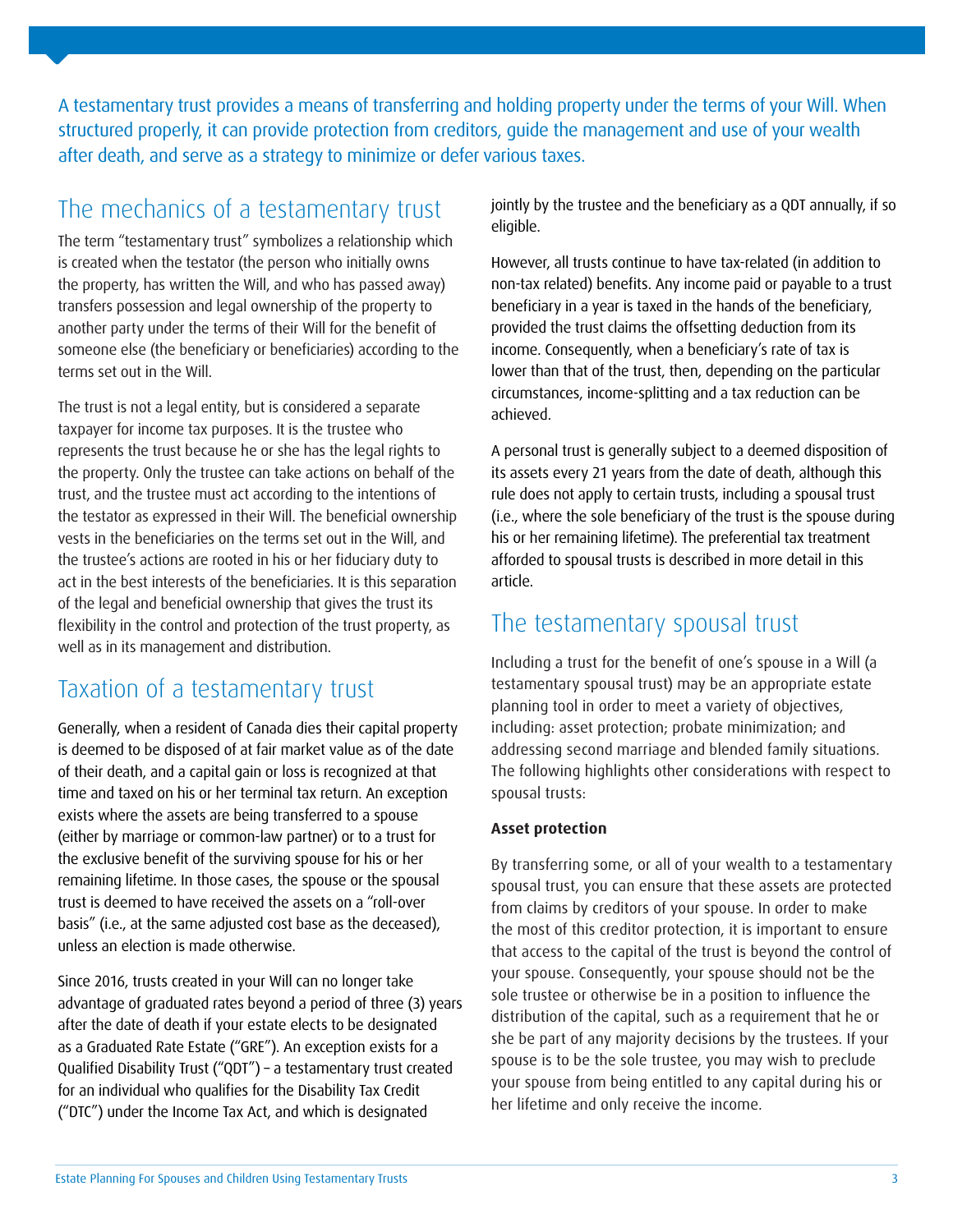A testamentary trust provides a means of transferring and holding property under the terms of your Will. When structured properly, it can provide protection from creditors, guide the management and use of your wealth after death, and serve as a strategy to minimize or defer various taxes.

# The mechanics of a testamentary trust

The term "testamentary trust" symbolizes a relationship which is created when the testator (the person who initially owns the property, has written the Will, and who has passed away) transfers possession and legal ownership of the property to another party under the terms of their Will for the benefit of someone else (the beneficiary or beneficiaries) according to the terms set out in the Will.

The trust is not a legal entity, but is considered a separate taxpayer for income tax purposes. It is the trustee who represents the trust because he or she has the legal rights to the property. Only the trustee can take actions on behalf of the trust, and the trustee must act according to the intentions of the testator as expressed in their Will. The beneficial ownership vests in the beneficiaries on the terms set out in the Will, and the trustee's actions are rooted in his or her fiduciary duty to act in the best interests of the beneficiaries. It is this separation of the legal and beneficial ownership that gives the trust its flexibility in the control and protection of the trust property, as well as in its management and distribution.

## Taxation of a testamentary trust

Generally, when a resident of Canada dies their capital property is deemed to be disposed of at fair market value as of the date of their death, and a capital gain or loss is recognized at that time and taxed on his or her terminal tax return. An exception exists where the assets are being transferred to a spouse (either by marriage or common-law partner) or to a trust for the exclusive benefit of the surviving spouse for his or her remaining lifetime. In those cases, the spouse or the spousal trust is deemed to have received the assets on a "roll-over basis" (i.e., at the same adjusted cost base as the deceased), unless an election is made otherwise.

Since 2016, trusts created in your Will can no longer take advantage of graduated rates beyond a period of three (3) years after the date of death if your estate elects to be designated as a Graduated Rate Estate ("GRE"). An exception exists for a Qualified Disability Trust ("QDT") – a testamentary trust created for an individual who qualifies for the Disability Tax Credit ("DTC") under the Income Tax Act, and which is designated

jointly by the trustee and the beneficiary as a QDT annually, if so eligible.

However, all trusts continue to have tax-related (in addition to non-tax related) benefits. Any income paid or payable to a trust beneficiary in a year is taxed in the hands of the beneficiary, provided the trust claims the offsetting deduction from its income. Consequently, when a beneficiary's rate of tax is lower than that of the trust, then, depending on the particular circumstances, income-splitting and a tax reduction can be achieved.

A personal trust is generally subject to a deemed disposition of its assets every 21 years from the date of death, although this rule does not apply to certain trusts, including a spousal trust (i.e., where the sole beneficiary of the trust is the spouse during his or her remaining lifetime). The preferential tax treatment afforded to spousal trusts is described in more detail in this article.

## The testamentary spousal trust

Including a trust for the benefit of one's spouse in a Will (a testamentary spousal trust) may be an appropriate estate planning tool in order to meet a variety of objectives, including: asset protection; probate minimization; and addressing second marriage and blended family situations. The following highlights other considerations with respect to spousal trusts:

#### **Asset protection**

By transferring some, or all of your wealth to a testamentary spousal trust, you can ensure that these assets are protected from claims by creditors of your spouse. In order to make the most of this creditor protection, it is important to ensure that access to the capital of the trust is beyond the control of your spouse. Consequently, your spouse should not be the sole trustee or otherwise be in a position to influence the distribution of the capital, such as a requirement that he or she be part of any majority decisions by the trustees. If your spouse is to be the sole trustee, you may wish to preclude your spouse from being entitled to any capital during his or her lifetime and only receive the income.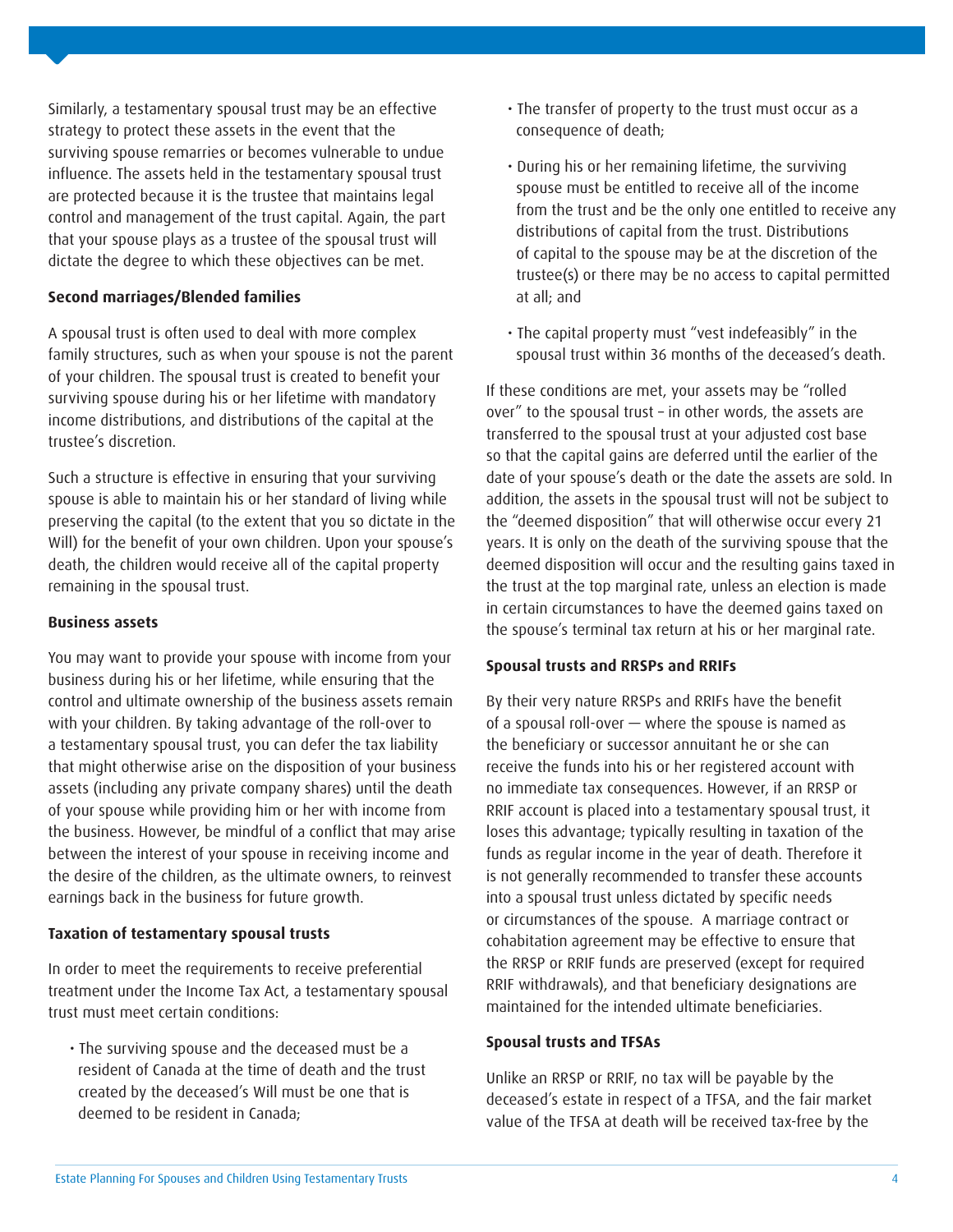Similarly, a testamentary spousal trust may be an effective strategy to protect these assets in the event that the surviving spouse remarries or becomes vulnerable to undue influence. The assets held in the testamentary spousal trust are protected because it is the trustee that maintains legal control and management of the trust capital. Again, the part that your spouse plays as a trustee of the spousal trust will dictate the degree to which these objectives can be met.

#### **Second marriages/Blended families**

A spousal trust is often used to deal with more complex family structures, such as when your spouse is not the parent of your children. The spousal trust is created to benefit your surviving spouse during his or her lifetime with mandatory income distributions, and distributions of the capital at the trustee's discretion.

Such a structure is effective in ensuring that your surviving spouse is able to maintain his or her standard of living while preserving the capital (to the extent that you so dictate in the Will) for the benefit of your own children. Upon your spouse's death, the children would receive all of the capital property remaining in the spousal trust.

#### **Business assets**

You may want to provide your spouse with income from your business during his or her lifetime, while ensuring that the control and ultimate ownership of the business assets remain with your children. By taking advantage of the roll-over to a testamentary spousal trust, you can defer the tax liability that might otherwise arise on the disposition of your business assets (including any private company shares) until the death of your spouse while providing him or her with income from the business. However, be mindful of a conflict that may arise between the interest of your spouse in receiving income and the desire of the children, as the ultimate owners, to reinvest earnings back in the business for future growth.

#### **Taxation of testamentary spousal trusts**

In order to meet the requirements to receive preferential treatment under the Income Tax Act, a testamentary spousal trust must meet certain conditions:

 • The surviving spouse and the deceased must be a resident of Canada at the time of death and the trust created by the deceased's Will must be one that is deemed to be resident in Canada;

- The transfer of property to the trust must occur as a consequence of death;
- During his or her remaining lifetime, the surviving spouse must be entitled to receive all of the income from the trust and be the only one entitled to receive any distributions of capital from the trust. Distributions of capital to the spouse may be at the discretion of the trustee(s) or there may be no access to capital permitted at all; and
- The capital property must "vest indefeasibly" in the spousal trust within 36 months of the deceased's death.

If these conditions are met, your assets may be "rolled over" to the spousal trust – in other words, the assets are transferred to the spousal trust at your adjusted cost base so that the capital gains are deferred until the earlier of the date of your spouse's death or the date the assets are sold. In addition, the assets in the spousal trust will not be subject to the "deemed disposition" that will otherwise occur every 21 years. It is only on the death of the surviving spouse that the deemed disposition will occur and the resulting gains taxed in the trust at the top marginal rate, unless an election is made in certain circumstances to have the deemed gains taxed on the spouse's terminal tax return at his or her marginal rate.

#### **Spousal trusts and RRSPs and RRIFs**

By their very nature RRSPs and RRIFs have the benefit of a spousal roll-over — where the spouse is named as the beneficiary or successor annuitant he or she can receive the funds into his or her registered account with no immediate tax consequences. However, if an RRSP or RRIF account is placed into a testamentary spousal trust, it loses this advantage; typically resulting in taxation of the funds as regular income in the year of death. Therefore it is not generally recommended to transfer these accounts into a spousal trust unless dictated by specific needs or circumstances of the spouse. A marriage contract or cohabitation agreement may be effective to ensure that the RRSP or RRIF funds are preserved (except for required RRIF withdrawals), and that beneficiary designations are maintained for the intended ultimate beneficiaries.

#### **Spousal trusts and TFSAs**

Unlike an RRSP or RRIF, no tax will be payable by the deceased's estate in respect of a TFSA, and the fair market value of the TFSA at death will be received tax-free by the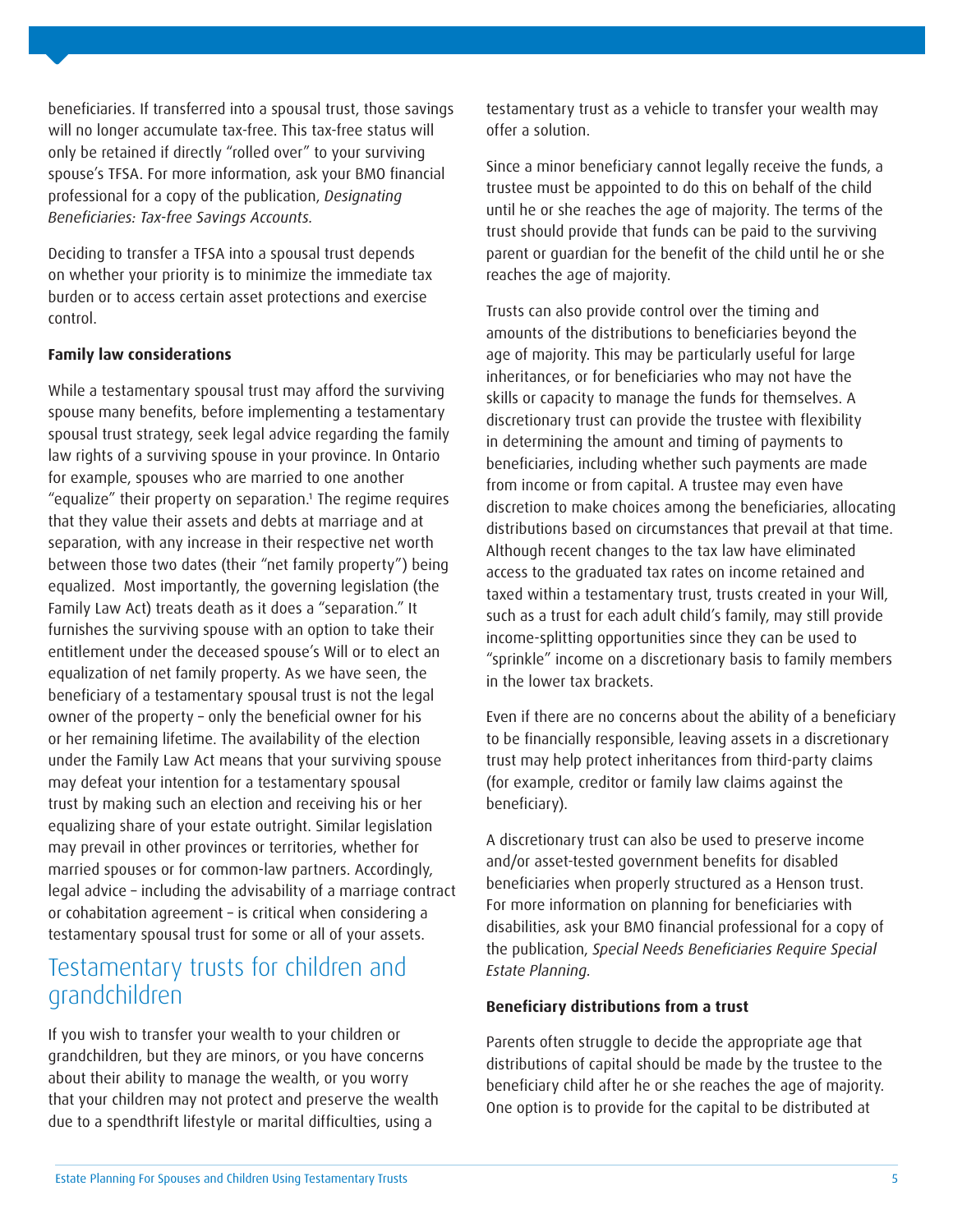beneficiaries. If transferred into a spousal trust, those savings will no longer accumulate tax-free. This tax-free status will only be retained if directly "rolled over" to your surviving spouse's TFSA. For more information, ask your BMO financial professional for a copy of the publication, *Designating*  Beneficiaries: Tax-free Savings Accounts.

Deciding to transfer a TFSA into a spousal trust depends on whether your priority is to minimize the immediate tax burden or to access certain asset protections and exercise control.

#### **Family law considerations**

While a testamentary spousal trust may afford the surviving spouse many benefits, before implementing a testamentary spousal trust strategy, seek legal advice regarding the family law rights of a surviving spouse in your province. In Ontario for example, spouses who are married to one another "equalize" their property on separation.<sup>1</sup> The regime requires that they value their assets and debts at marriage and at separation, with any increase in their respective net worth between those two dates (their "net family property") being equalized. Most importantly, the governing legislation (the Family Law Act) treats death as it does a "separation." It furnishes the surviving spouse with an option to take their entitlement under the deceased spouse's Will or to elect an equalization of net family property. As we have seen, the beneficiary of a testamentary spousal trust is not the legal owner of the property – only the beneficial owner for his or her remaining lifetime. The availability of the election under the Family Law Act means that your surviving spouse may defeat your intention for a testamentary spousal trust by making such an election and receiving his or her equalizing share of your estate outright. Similar legislation may prevail in other provinces or territories, whether for married spouses or for common-law partners. Accordingly, legal advice – including the advisability of a marriage contract or cohabitation agreement – is critical when considering a testamentary spousal trust for some or all of your assets.

### Testamentary trusts for children and grandchildren

If you wish to transfer your wealth to your children or grandchildren, but they are minors, or you have concerns about their ability to manage the wealth, or you worry that your children may not protect and preserve the wealth due to a spendthrift lifestyle or marital difficulties, using a

testamentary trust as a vehicle to transfer your wealth may offer a solution.

Since a minor beneficiary cannot legally receive the funds, a trustee must be appointed to do this on behalf of the child until he or she reaches the age of majority. The terms of the trust should provide that funds can be paid to the surviving parent or guardian for the benefit of the child until he or she reaches the age of majority.

Trusts can also provide control over the timing and amounts of the distributions to beneficiaries beyond the age of majority. This may be particularly useful for large inheritances, or for beneficiaries who may not have the skills or capacity to manage the funds for themselves. A discretionary trust can provide the trustee with flexibility in determining the amount and timing of payments to beneficiaries, including whether such payments are made from income or from capital. A trustee may even have discretion to make choices among the beneficiaries, allocating distributions based on circumstances that prevail at that time. Although recent changes to the tax law have eliminated access to the graduated tax rates on income retained and taxed within a testamentary trust, trusts created in your Will, such as a trust for each adult child's family, may still provide income-splitting opportunities since they can be used to "sprinkle" income on a discretionary basis to family members in the lower tax brackets.

Even if there are no concerns about the ability of a beneficiary to be financially responsible, leaving assets in a discretionary trust may help protect inheritances from third-party claims (for example, creditor or family law claims against the beneficiary).

A discretionary trust can also be used to preserve income and/or asset-tested government benefits for disabled beneficiaries when properly structured as a Henson trust. For more information on planning for beneficiaries with disabilities, ask your BMO financial professional for a copy of the publication, Special Needs Beneficiaries Require Special Estate Planning.

#### **Beneficiary distributions from a trust**

Parents often struggle to decide the appropriate age that distributions of capital should be made by the trustee to the beneficiary child after he or she reaches the age of majority. One option is to provide for the capital to be distributed at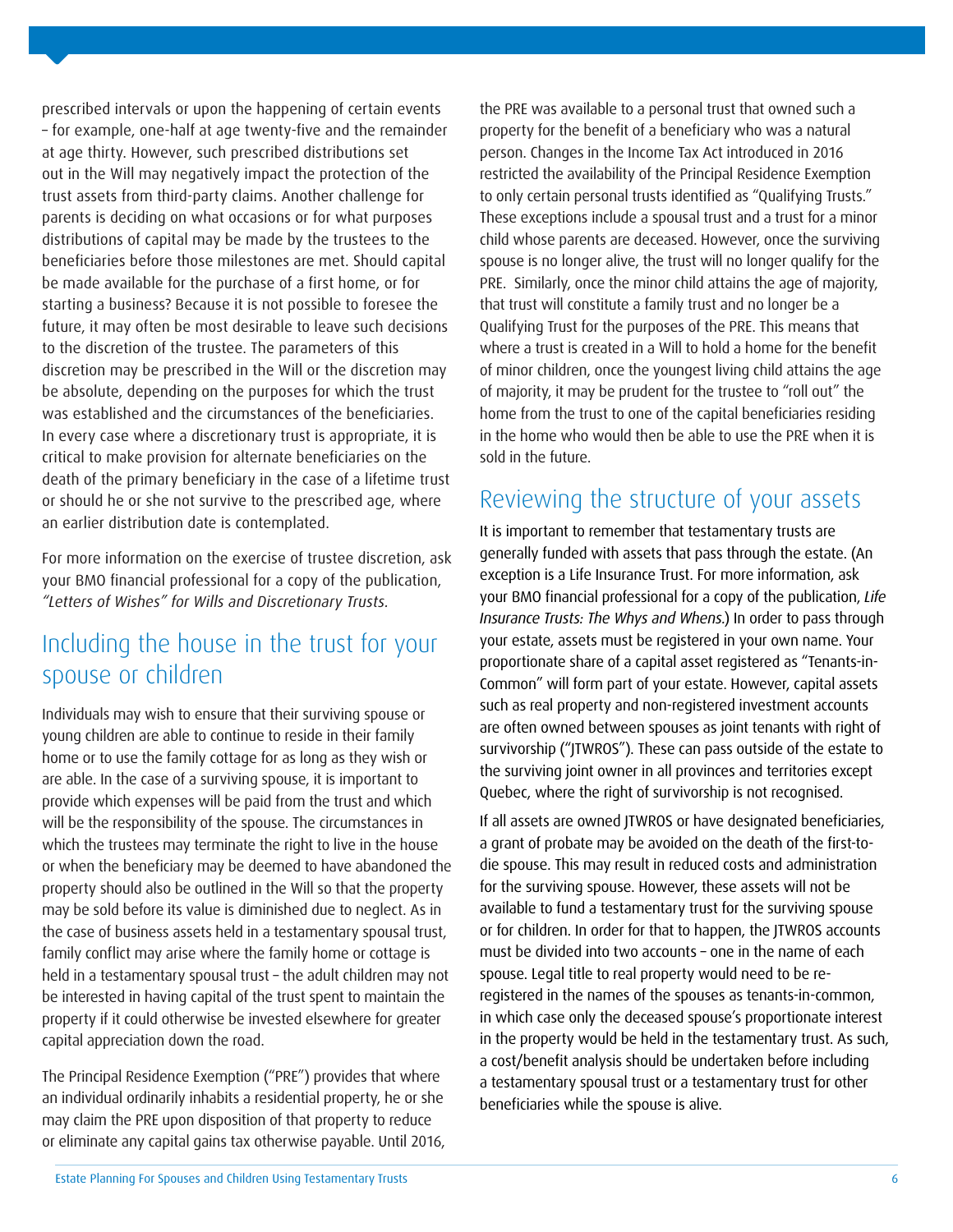prescribed intervals or upon the happening of certain events – for example, one-half at age twenty-five and the remainder at age thirty. However, such prescribed distributions set out in the Will may negatively impact the protection of the trust assets from third-party claims. Another challenge for parents is deciding on what occasions or for what purposes distributions of capital may be made by the trustees to the beneficiaries before those milestones are met. Should capital be made available for the purchase of a first home, or for starting a business? Because it is not possible to foresee the future, it may often be most desirable to leave such decisions to the discretion of the trustee. The parameters of this discretion may be prescribed in the Will or the discretion may be absolute, depending on the purposes for which the trust was established and the circumstances of the beneficiaries. In every case where a discretionary trust is appropriate, it is critical to make provision for alternate beneficiaries on the death of the primary beneficiary in the case of a lifetime trust or should he or she not survive to the prescribed age, where an earlier distribution date is contemplated.

For more information on the exercise of trustee discretion, ask your BMO financial professional for a copy of the publication, "Letters of Wishes" for Wills and Discretionary Trusts.

## Including the house in the trust for your spouse or children

Individuals may wish to ensure that their surviving spouse or young children are able to continue to reside in their family home or to use the family cottage for as long as they wish or are able. In the case of a surviving spouse, it is important to provide which expenses will be paid from the trust and which will be the responsibility of the spouse. The circumstances in which the trustees may terminate the right to live in the house or when the beneficiary may be deemed to have abandoned the property should also be outlined in the Will so that the property may be sold before its value is diminished due to neglect. As in the case of business assets held in a testamentary spousal trust, family conflict may arise where the family home or cottage is held in a testamentary spousal trust – the adult children may not be interested in having capital of the trust spent to maintain the property if it could otherwise be invested elsewhere for greater capital appreciation down the road.

The Principal Residence Exemption ("PRE") provides that where an individual ordinarily inhabits a residential property, he or she may claim the PRE upon disposition of that property to reduce or eliminate any capital gains tax otherwise payable. Until 2016, the PRE was available to a personal trust that owned such a property for the benefit of a beneficiary who was a natural person. Changes in the Income Tax Act introduced in 2016 restricted the availability of the Principal Residence Exemption to only certain personal trusts identified as "Qualifying Trusts." These exceptions include a spousal trust and a trust for a minor child whose parents are deceased. However, once the surviving spouse is no longer alive, the trust will no longer qualify for the PRE. Similarly, once the minor child attains the age of majority, that trust will constitute a family trust and no longer be a Qualifying Trust for the purposes of the PRE. This means that where a trust is created in a Will to hold a home for the benefit of minor children, once the youngest living child attains the age of majority, it may be prudent for the trustee to "roll out" the home from the trust to one of the capital beneficiaries residing in the home who would then be able to use the PRE when it is sold in the future.

### Reviewing the structure of your assets

It is important to remember that testamentary trusts are generally funded with assets that pass through the estate. (An exception is a Life Insurance Trust. For more information, ask your BMO financial professional for a copy of the publication, Life Insurance Trusts: The Whys and Whens.) In order to pass through your estate, assets must be registered in your own name. Your proportionate share of a capital asset registered as "Tenants-in-Common" will form part of your estate. However, capital assets such as real property and non-registered investment accounts are often owned between spouses as joint tenants with right of survivorship ("JTWROS"). These can pass outside of the estate to the surviving joint owner in all provinces and territories except Quebec, where the right of survivorship is not recognised.

If all assets are owned JTWROS or have designated beneficiaries, a grant of probate may be avoided on the death of the first-todie spouse. This may result in reduced costs and administration for the surviving spouse. However, these assets will not be available to fund a testamentary trust for the surviving spouse or for children. In order for that to happen, the JTWROS accounts must be divided into two accounts – one in the name of each spouse. Legal title to real property would need to be reregistered in the names of the spouses as tenants-in-common, in which case only the deceased spouse's proportionate interest in the property would be held in the testamentary trust. As such, a cost/benefit analysis should be undertaken before including a testamentary spousal trust or a testamentary trust for other beneficiaries while the spouse is alive.